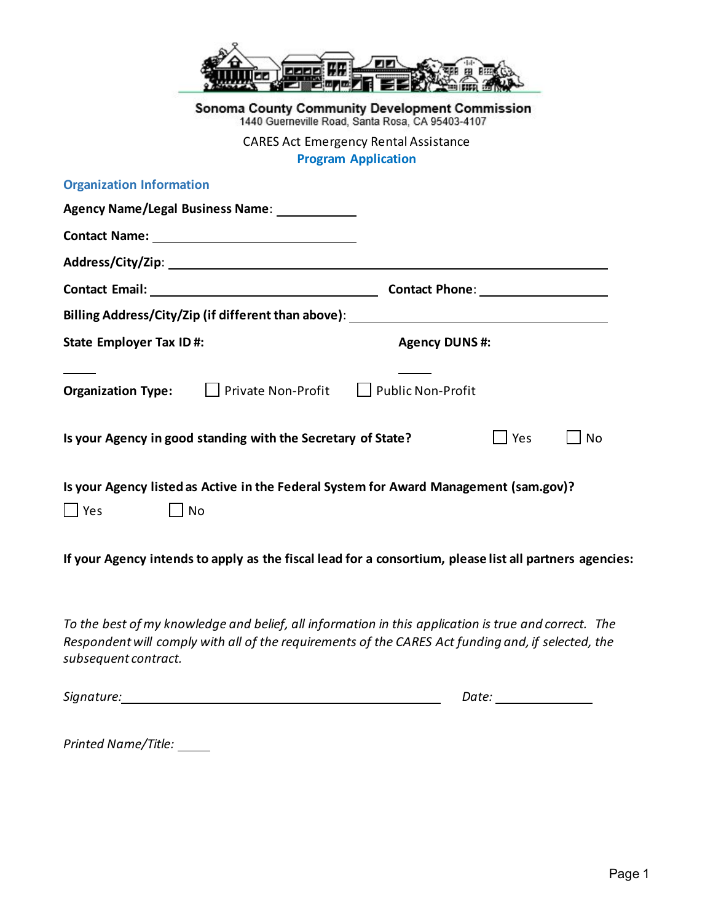|                                                                                                                                                                                                                                    | 乙醚乙四角                                                                                              |                        |    |
|------------------------------------------------------------------------------------------------------------------------------------------------------------------------------------------------------------------------------------|----------------------------------------------------------------------------------------------------|------------------------|----|
|                                                                                                                                                                                                                                    | Sonoma County Community Development Commission<br>1440 Guerneville Road, Santa Rosa, CA 95403-4107 |                        |    |
|                                                                                                                                                                                                                                    | <b>CARES Act Emergency Rental Assistance</b><br><b>Program Application</b>                         |                        |    |
| <b>Organization Information</b>                                                                                                                                                                                                    |                                                                                                    |                        |    |
| Agency Name/Legal Business Name: 1988 Mame:                                                                                                                                                                                        |                                                                                                    |                        |    |
| Contact Name: 2008                                                                                                                                                                                                                 |                                                                                                    |                        |    |
|                                                                                                                                                                                                                                    |                                                                                                    |                        |    |
|                                                                                                                                                                                                                                    |                                                                                                    |                        |    |
| Billing Address/City/Zip (if different than above): ____________________________                                                                                                                                                   |                                                                                                    |                        |    |
| <b>State Employer Tax ID#:</b>                                                                                                                                                                                                     | <b>Agency DUNS#:</b>                                                                               |                        |    |
| Organization Type: □ Private Non-Profit □ Public Non-Profit                                                                                                                                                                        |                                                                                                    |                        |    |
| Is your Agency in good standing with the Secretary of State?                                                                                                                                                                       |                                                                                                    | Yes                    | No |
| Is your Agency listed as Active in the Federal System for Award Management (sam.gov)?                                                                                                                                              |                                                                                                    |                        |    |
| $\Box$ Yes<br>$\Box$ No                                                                                                                                                                                                            |                                                                                                    |                        |    |
| If your Agency intends to apply as the fiscal lead for a consortium, please list all partners agencies:                                                                                                                            |                                                                                                    |                        |    |
| To the best of my knowledge and belief, all information in this application is true and correct. The<br>Respondent will comply with all of the requirements of the CARES Act funding and, if selected, the<br>subsequent contract. |                                                                                                    |                        |    |
|                                                                                                                                                                                                                                    |                                                                                                    | Date: ________________ |    |
|                                                                                                                                                                                                                                    |                                                                                                    |                        |    |

*Printed Name/Title:*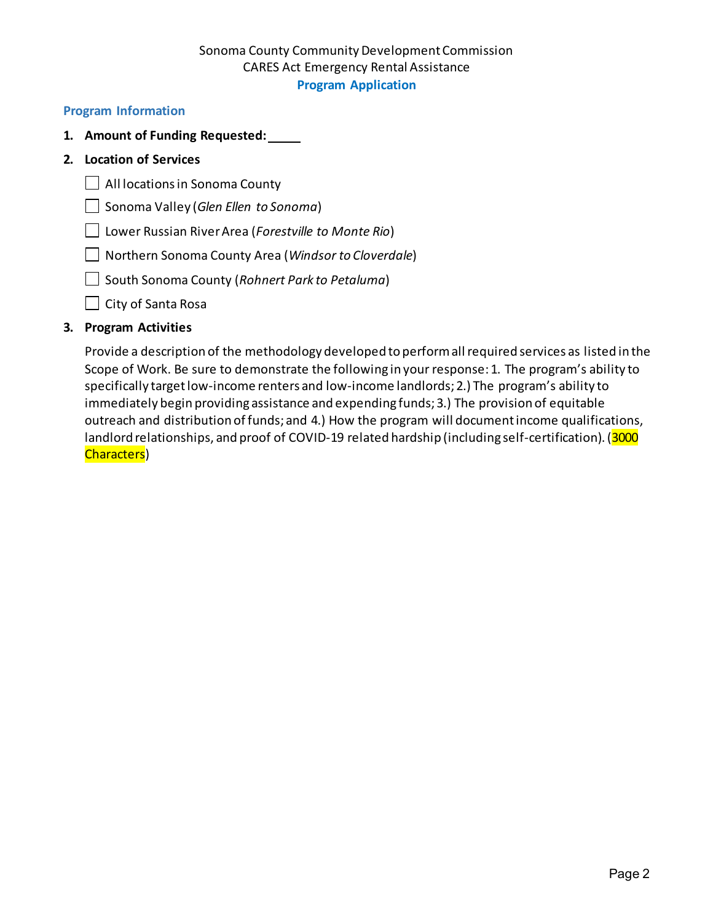# Sonoma County Community Development Commission CARES Act Emergency Rental Assistance **Program Application**

### **Program Information**

- **1. Amount of Funding Requested:**
- **2. Location of Services**
	- All locations in Sonoma County
	- Sonoma Valley (*Glen Ellen to Sonoma*)
	- Lower Russian River Area (*Forestville to Monte Rio*)
	- Northern Sonoma County Area (*Windsor to Cloverdale*)
	- South Sonoma County (*Rohnert Park to Petaluma*)
	- $\Box$  City of Santa Rosa

## **3. Program Activities**

Provide a description of the methodology developed to perform all required services as listed in the Scope of Work. Be sure to demonstrate the following in your response: 1. The program's ability to specifically target low-income renters and low-income landlords; 2.) The program's ability to immediately begin providing assistance and expending funds; 3.) The provision of equitable outreach and distribution of funds; and 4.) How the program will document income qualifications, landlord relationships, and proof of COVID-19 related hardship (including self-certification). (3000 Characters)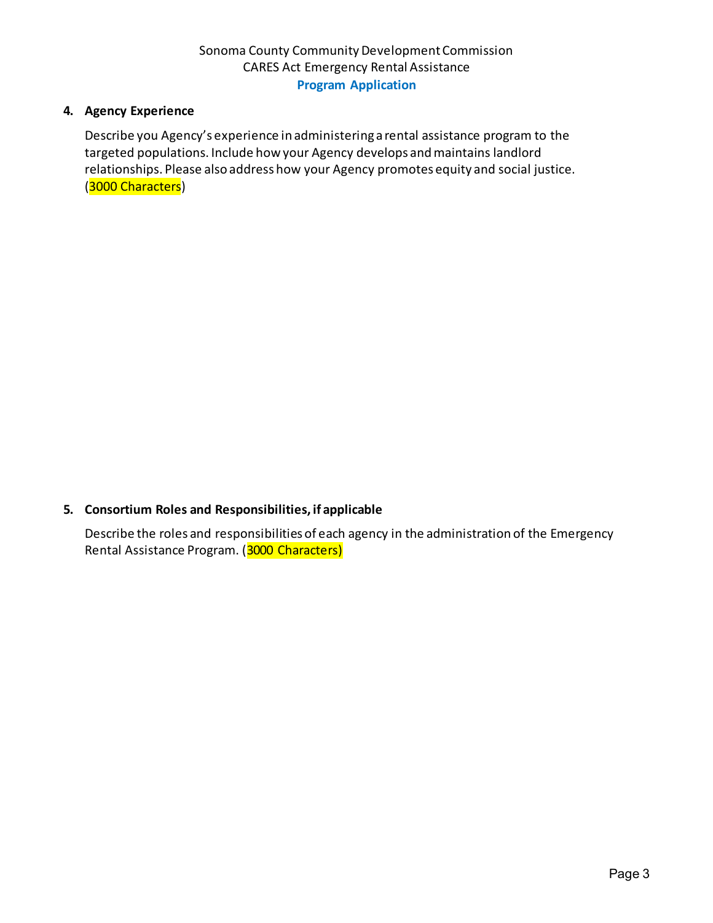# **4. Agency Experience**

Describe you Agency's experience in administering a rental assistance program to the targeted populations. Include how your Agency develops and maintains landlord relationships. Please also address how your Agency promotes equity and social justice. (3000 Characters)

# **5. Consortium Roles and Responsibilities, if applicable**

Describe the roles and responsibilities of each agency in the administration of the Emergency Rental Assistance Program. (3000 Characters)